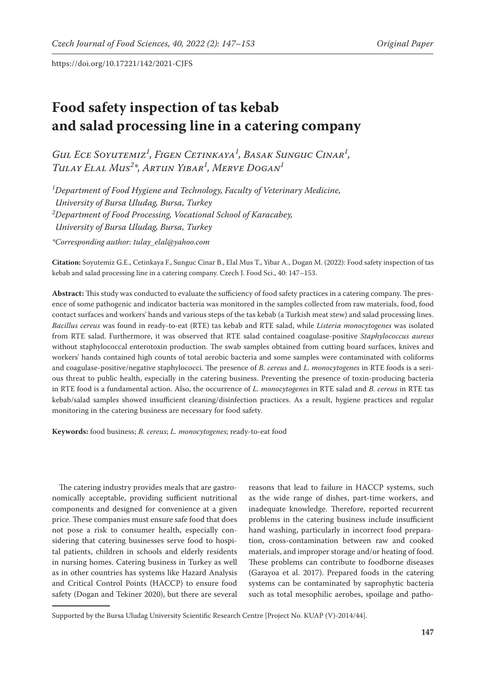# **Food safety inspection of tas kebab and salad processing line in a catering company**

*Gul Ece Soyutemiz1 , Figen Cetinkaya1 , Basak Sunguc Cinar1 , Tulay Elal Mus2 \*, Artun Yibar1 , Merve Dogan1*

*1 Department of Food Hygiene and Technology, Faculty of Veterinary Medicine, University of Bursa Uludag, Bursa, Turkey 2 Department of Food Processing, Vocational School of Karacabey, University of Bursa Uludag, Bursa, Turkey \*Corresponding author: tulay\_elal@yahoo.com*

**Citation:** Soyutemiz G.E., Cetinkaya F., Sunguc Cinar B., Elal Mus T., Yibar A., Dogan M. (2022): Food safety inspection of tas kebab and salad processing line in a catering company. Czech J. Food Sci., 40: 147–153.

**Abstract:** This study was conducted to evaluate the sufficiency of food safety practices in a catering company. The presence of some pathogenic and indicator bacteria was monitored in the samples collected from raw materials, food, food contact surfaces and workers' hands and various steps of the tas kebab (a Turkish meat stew) and salad processing lines. *Bacillus cereus* was found in ready-to-eat (RTE) tas kebab and RTE salad, while *Listeria monocytogenes* was isolated from RTE salad. Furthermore, it was observed that RTE salad contained coagulase-positive *Staphylococcus aureus* without staphylococcal enterotoxin production. The swab samples obtained from cutting board surfaces, knives and workers' hands contained high counts of total aerobic bacteria and some samples were contaminated with coliforms and coagulase-positive/negative staphylococci. The presence of *B. cereus* and *L. monocytogenes* in RTE foods is a serious threat to public health, especially in the catering business. Preventing the presence of toxin-producing bacteria in RTE food is a fundamental action. Also, the occurrence of *L. monocytogenes* in RTE salad and *B. cereus* in RTE tas kebab/salad samples showed insufficient cleaning/disinfection practices. As a result, hygiene practices and regular monitoring in the catering business are necessary for food safety.

**Keywords:** food business; *B. cereus*; *L. monocytogenes*; ready-to-eat food

The catering industry provides meals that are gastronomically acceptable, providing sufficient nutritional components and designed for convenience at a given price. These companies must ensure safe food that does not pose a risk to consumer health, especially considering that catering businesses serve food to hospital patients, children in schools and elderly residents in nursing homes. Catering business in Turkey as well as in other countries has systems like Hazard Analysis and Critical Control Points (HACCP) to ensure food safety (Dogan and Tekiner 2020), but there are several

reasons that lead to failure in HACCP systems, such as the wide range of dishes, part-time workers, and inadequate knowledge. Therefore, reported recurrent problems in the catering business include insufficient hand washing, particularly in incorrect food preparation, cross-contamination between raw and cooked materials, and improper storage and/or heating of food. These problems can contribute to foodborne diseases (Garayoa et al. 2017). Prepared foods in the catering systems can be contaminated by saprophytic bacteria such as total mesophilic aerobes, spoilage and patho-

Supported by the Bursa Uludag University Scientific Research Centre [Project No. KUAP (V)-2014/44].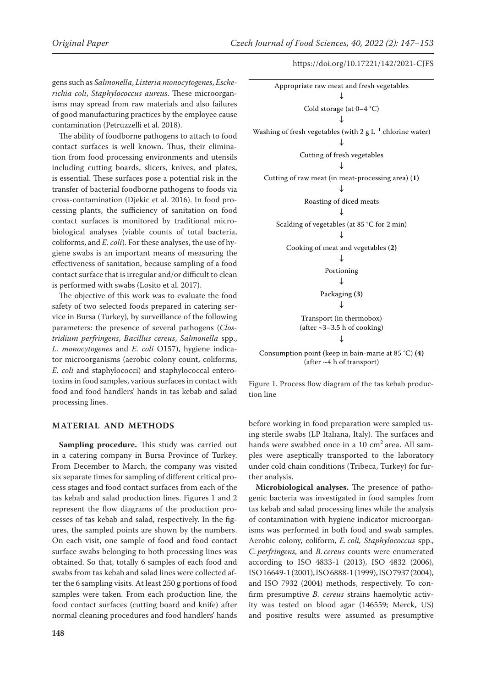gens such as *Salmonella*, *Listeria monocytogenes*, *Escherichia coli*, *Staphylococcus aureus*. These microorganisms may spread from raw materials and also failures of good manufacturing practices by the employee cause contamination (Petruzzelli et al. 2018).

The ability of foodborne pathogens to attach to food contact surfaces is well known. Thus, their elimination from food processing environments and utensils including cutting boards, slicers, knives, and plates, is essential. These surfaces pose a potential risk in the transfer of bacterial foodborne pathogens to foods via cross-contamination (Djekic et al. 2016). In food processing plants, the sufficiency of sanitation on food contact surfaces is monitored by traditional microbiological analyses (viable counts of total bacteria, coliforms, and *E. coli*). For these analyses, the use of hygiene swabs is an important means of measuring the effectiveness of sanitation, because sampling of a food contact surface that is irregular and/or difficult to clean is performed with swabs (Losito et al. 2017).

The objective of this work was to evaluate the food safety of two selected foods prepared in catering service in Bursa (Turkey), by surveillance of the following parameters: the presence of several pathogens (*Clostridium perfringens*, *Bacillus cereus*, *Salmonella* spp., *L. monocytogenes* and *E. coli* O157), hygiene indicator microorganisms (aerobic colony count, coliforms, *E. coli* and staphylococci) and staphylococcal enterotoxins in food samples, various surfaces in contact with food and food handlers' hands in tas kebab and salad processing lines.

### **MATERIAL AND METHODS**

**Sampling procedure.** This study was carried out in a catering company in Bursa Province of Turkey. From December to March, the company was visited six separate times for sampling of different critical process stages and food contact surfaces from each of the tas kebab and salad production lines. Figures 1 and 2 represent the flow diagrams of the production processes of tas kebab and salad, respectively. In the figures, the sampled points are shown by the numbers. On each visit, one sample of food and food contact surface swabs belonging to both processing lines was obtained. So that, totally 6 samples of each food and swabs from tas kebab and salad lines were collected after the 6 sampling visits. At least 250 g portions of food samples were taken. From each production line, the food contact surfaces (cutting board and knife) after normal cleaning procedures and food handlers' hands



Figure 1. Process flow diagram of the tas kebab production line

before working in food preparation were sampled using sterile swabs (LP Italıana, Italy). The surfaces and hands were swabbed once in a 10  $\text{cm}^2$  area. All samples were aseptically transported to the laboratory under cold chain conditions (Tribeca, Turkey) for further analysis.

**Microbiological analyses.** The presence of pathogenic bacteria was investigated in food samples from tas kebab and salad processing lines while the analysis of contamination with hygiene indicator microorganisms was performed in both food and swab samples. Aerobic colony, coliform, *E. coli, Staphylococcus* spp., *C. perfringens*, and *B. cereus* counts were enumerated according to ISO 4833-1 (2013), ISO 4832 (2006), ISO16649-1(2001), ISO6888-1(1999), ISO7937(2004), and ISO 7932 (2004) methods, respectively. To confirm presumptive *B. cereus* strains haemolytic activity was tested on blood agar (146559; Merck, US) and positive results were assumed as presumptive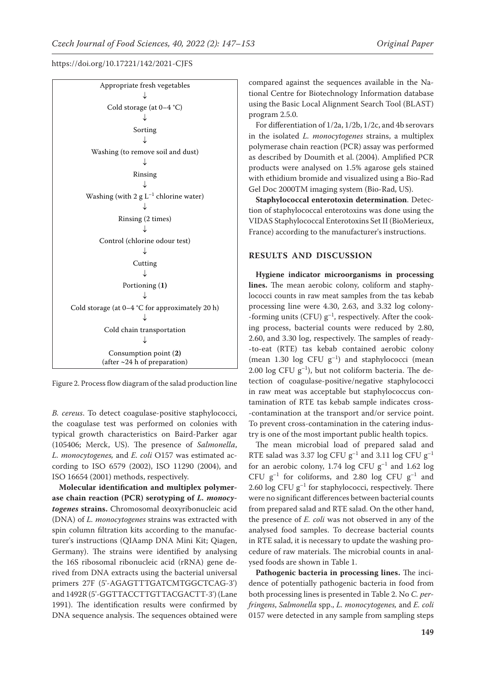

Figure 2. Process flow diagram of the salad production line

*B. cereus*. To detect coagulase-positive staphylococci, the coagulase test was performed on colonies with typical growth characteristics on Baird-Parker agar (105406; Merck, US). The presence of *Salmonella*, *L. monocytogenes,* and *E. coli* O157 was estimated according to ISO 6579 (2002), ISO 11290 (2004), and ISO 16654 (2001) methods, respectively.

**Molecular identification and multiplex polymerase chain reaction (PCR) serotyping of** *L. monocytogenes* **strains.** Chromosomal deoxyribonucleic acid (DNA) of *L. monocytogenes* strains was extracted with spin column filtration kits according to the manufacturer's instructions (QIAamp DNA Mini Kit; Qiagen, Germany). The strains were identified by analysing the 16S ribosomal ribonucleic acid (rRNA) gene derived from DNA extracts using the bacterial universal primers 27F (5'-AGAGTTTGATCMTGGCTCAG-3') and 1492R (5'-GGTTACCTTGTTACGACTT-3') (Lane 1991). The identification results were confirmed by DNA sequence analysis. The sequences obtained were

compared against the sequences available in the National Centre for Biotechnology Information database using the Basic Local Alignment Search Tool (BLAST) program 2.5.0.

For differentiation of 1/2a, 1/2b, 1/2c, and 4b serovars in the isolated *L. monocytogenes* strains, a multiplex polymerase chain reaction (PCR) assay was performed as described by Doumith et al. (2004). Amplified PCR products were analysed on 1.5% agarose gels stained with ethidium bromide and visualized using a Bio-Rad Gel Doc 2000TM imaging system (Bio-Rad, US).

**Staphylococcal enterotoxin determination**. Detection of staphylococcal enterotoxins was done using the VIDAS Staphylococcal Enterotoxins Set II (BioMerieux, France) according to the manufacturer's instructions.

## **RESULTS AND DISCUSSION**

**Hygiene indicator microorganisms in processing lines.** The mean aerobic colony, coliform and staphylococci counts in raw meat samples from the tas kebab processing line were 4.30, 2.63, and 3.32 log colony- -forming units (CFU)  $g^{-1}$ , respectively. After the cooking process, bacterial counts were reduced by 2.80, 2.60, and 3.30 log, respectively. The samples of ready- -to-eat (RTE) tas kebab contained aerobic colony (mean 1.30 log CFU  $g^{-1}$ ) and staphylococci (mean 2.00 log CFU  $g^{-1}$ ), but not coliform bacteria. The detection of coagulase-positive/negative staphylococci in raw meat was acceptable but staphylococcus contamination of RTE tas kebab sample indicates cross- -contamination at the transport and/or service point. To prevent cross-contamination in the catering industry is one of the most important public health topics.

The mean microbial load of prepared salad and RTE salad was 3.37 log CFU  $g^{-1}$  and 3.11 log CFU  $g^{-1}$ for an aerobic colony, 1.74 log CFU  $g^{-1}$  and 1.62 log CFU  $g^{-1}$  for coliforms, and 2.80 log CFU  $g^{-1}$  and 2.60 log CFU  $g^{-1}$  for staphylococci, respectively. There were no significant differences between bacterial counts from prepared salad and RTE salad. On the other hand, the presence of *E. coli* was not observed in any of the analysed food samples. To decrease bacterial counts in RTE salad, it is necessary to update the washing procedure of raw materials. The microbial counts in analysed foods are shown in Table 1.

**Pathogenic bacteria in processing lines.** The incidence of potentially pathogenic bacteria in food from both processing lines is presented in Table 2. No *C. perfringens*, *Salmonella* spp., *L. monocytogenes,* and *E. coli* 0157 were detected in any sample from sampling steps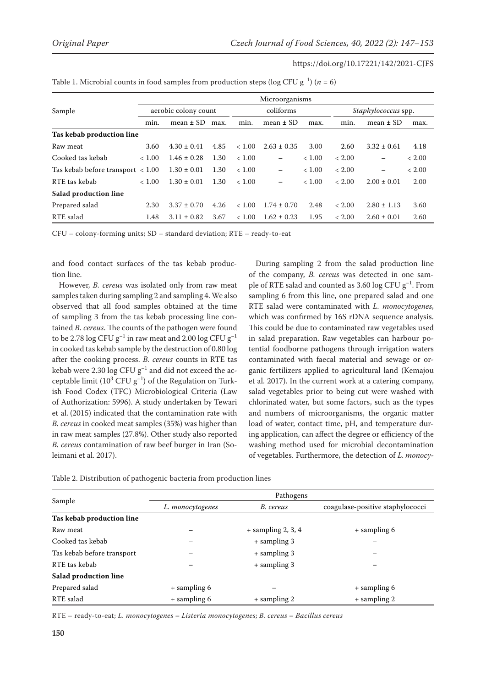|                                                   | Microorganisms       |                 |      |           |                          |        |                            |                 |        |
|---------------------------------------------------|----------------------|-----------------|------|-----------|--------------------------|--------|----------------------------|-----------------|--------|
| Sample                                            | aerobic colony count |                 |      | coliforms |                          |        | <i>Staphylococcus</i> spp. |                 |        |
|                                                   | min.                 | mean $\pm$ SD   | max. | min.      | mean $\pm$ SD            | max.   | min.                       | mean $\pm$ SD   | max.   |
| Tas kebab production line                         |                      |                 |      |           |                          |        |                            |                 |        |
| Raw meat                                          | 3.60                 | $4.30 \pm 0.41$ | 4.85 | < 1.00    | $2.63 \pm 0.35$          | 3.00   | 2.60                       | $3.32 \pm 0.61$ | 4.18   |
| Cooked tas kebab                                  | < 1.00               | $1.46 \pm 0.28$ | 1.30 | < 1.00    | $\overline{\phantom{0}}$ | < 1.00 | < 2.00                     |                 | < 2.00 |
| Tas kebab before transport $\langle 1.00 \rangle$ |                      | $1.30 \pm 0.01$ | 1.30 | < 1.00    | $\qquad \qquad -$        | < 1.00 | < 2.00                     |                 | < 2.00 |
| RTE tas kebab                                     | < 1.00               | $1.30 \pm 0.01$ | 1.30 | < 1.00    | $\overline{\phantom{0}}$ | < 1.00 | < 2.00                     | $2.00 \pm 0.01$ | 2.00   |
| <b>Salad production line</b>                      |                      |                 |      |           |                          |        |                            |                 |        |
| Prepared salad                                    | 2.30                 | $3.37 \pm 0.70$ | 4.26 | < 1.00    | $1.74 \pm 0.70$          | 2.48   | < 2.00                     | $2.80 \pm 1.13$ | 3.60   |
| RTE salad                                         | 1.48                 | $3.11 \pm 0.82$ | 3.67 | < 1.00    | $1.62 \pm 0.23$          | 1.95   | < 2.00                     | $2.60 \pm 0.01$ | 2.60   |

Table 1. Microbial counts in food samples from production steps ( $log CFU g^{-1}$ ) (*n* = 6)

CFU – colony-forming units; SD – standard deviation; RTE – ready-to-eat

and food contact surfaces of the tas kebab production line.

However, *B. cereus* was isolated only from raw meat samples taken during sampling 2 and sampling 4. We also observed that all food samples obtained at the time of sampling 3 from the tas kebab processing line contained *B. cereus*. The counts of the pathogen were found to be 2.78 log CFU  $g^{-1}$  in raw meat and 2.00 log CFU  $g^{-1}$ in cooked tas kebab sample by the destruction of 0.80 log after the cooking process. *B. cereus* counts in RTE tas kebab were 2.30 log CFU  $g^{-1}$  and did not exceed the acceptable limit ( $10^3$  CFU  $g^{-1}$ ) of the Regulation on Turkish Food Codex (TFC) Microbiological Criteria (Law of Authorization: 5996). A study undertaken by Tewari et al. (2015) indicated that the contamination rate with *B. cereus* in cooked meat samples (35%) was higher than in raw meat samples (27.8%). Other study also reported *B. cereus* contamination of raw beef burger in Iran (Soleimani et al. 2017).

During sampling 2 from the salad production line of the company, *B. cereus* was detected in one sample of RTE salad and counted as 3.60 log CFU  $g^{-1}$ . From sampling 6 from this line, one prepared salad and one RTE salad were contaminated with *L. monocytogenes*, which was confirmed by 16S rDNA sequence analysis. This could be due to contaminated raw vegetables used in salad preparation. Raw vegetables can harbour potential foodborne pathogens through irrigation waters contaminated with faecal material and sewage or organic fertilizers applied to agricultural land (Kemajou et al. 2017). In the current work at a catering company, salad vegetables prior to being cut were washed with chlorinated water, but some factors, such as the types and numbers of microorganisms, the organic matter load of water, contact time, pH, and temperature during application, can affect the degree or efficiency of the washing method used for microbial decontamination of vegetables. Furthermore, the detection of *L. monocy-*

| Table 2. Distribution of pathogenic bacteria from production lines |  |  |  |  |
|--------------------------------------------------------------------|--|--|--|--|
|--------------------------------------------------------------------|--|--|--|--|

|                            | Pathogens        |                      |                                  |  |  |  |
|----------------------------|------------------|----------------------|----------------------------------|--|--|--|
| Sample                     | L. monocytogenes | B. cereus            | coagulase-positive staphylococci |  |  |  |
| Tas kebab production line  |                  |                      |                                  |  |  |  |
| Raw meat                   |                  | $+$ sampling 2, 3, 4 | + sampling 6                     |  |  |  |
| Cooked tas kebab           |                  | + sampling 3         |                                  |  |  |  |
| Tas kebab before transport |                  | + sampling 3         |                                  |  |  |  |
| RTE tas kebab              |                  | + sampling 3         |                                  |  |  |  |
| Salad production line      |                  |                      |                                  |  |  |  |
| Prepared salad             | + sampling 6     |                      | + sampling 6                     |  |  |  |
| RTE salad                  | + sampling 6     | $+$ sampling 2       | + sampling 2                     |  |  |  |

RTE – ready-to-eat; *L. monocytogenes* **–** *Listeria monocytogenes*; *B. cereus* **–** *Bacillus cereus*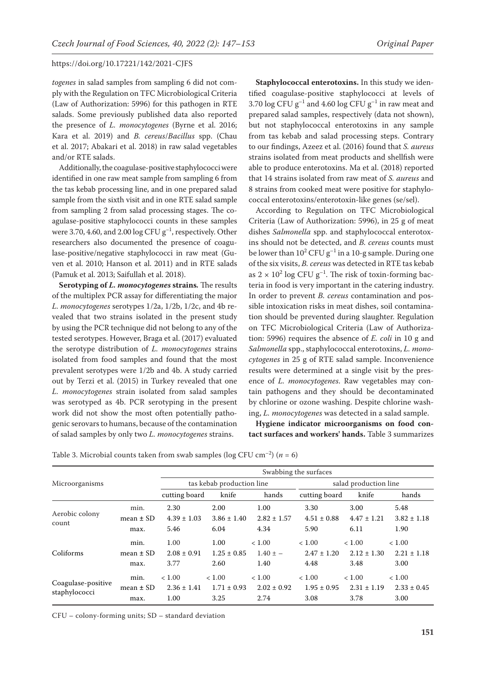*togenes* in salad samples from sampling 6 did not comply with the Regulation on TFC Microbiological Criteria (Law of Authorization: 5996) for this pathogen in RTE salads. Some previously published data also reported the presence of *L. monocytogenes* (Byrne et al. 2016; Kara et al. 2019) and *B. cereus*/*Bacillus* spp. (Chau et al. 2017; Abakari et al. 2018) in raw salad vegetables and/or RTE salads.

Additionally, the coagulase-positive staphylococci were identified in one raw meat sample from sampling 6 from the tas kebab processing line, and in one prepared salad sample from the sixth visit and in one RTE salad sample from sampling 2 from salad processing stages. The coagulase-positive staphylococci counts in these samples were 3.70, 4.60, and 2.00 log CFU  $g^{-1}$ , respectively. Other researchers also documented the presence of coagulase-positive/negative staphylococci in raw meat (Guven et al. 2010; Hanson et al. 2011) and in RTE salads (Pamuk et al. 2013; Saifullah et al. 2018).

**Serotyping of** *L. monocytogenes* **strains***.* The results of the multiplex PCR assay for differentiating the major *L. monocytogenes* serotypes 1/2a, 1/2b, 1/2c, and 4b revealed that two strains isolated in the present study by using the PCR technique did not belong to any of the tested serotypes. However, Braga et al. (2017) evaluated the serotype distribution of *L. monocytogenes* strains isolated from food samples and found that the most prevalent serotypes were 1/2b and 4b. A study carried out by Terzi et al. (2015) in Turkey revealed that one *L. monocytogenes* strain isolated from salad samples was serotyped as 4b. PCR serotyping in the present work did not show the most often potentially pathogenic serovars to humans, because of the contamination of salad samples by only two *L. monocytogenes* strains.

**Staphylococcal enterotoxins.** In this study we identified coagulase-positive staphylococci at levels of 3.70 log CFU  $g^{-1}$  and 4.60 log CFU  $g^{-1}$  in raw meat and prepared salad samples, respectively (data not shown), but not staphylococcal enterotoxins in any sample from tas kebab and salad processing steps. Contrary to our findings, Azeez et al. (2016) found that *S. aureus*  strains isolated from meat products and shellfish were able to produce enterotoxins. Ma et al. (2018) reported that 14 strains isolated from raw meat of *S. aureus* and 8 strains from cooked meat were positive for staphylococcal enterotoxins/enterotoxin-like genes (se/sel).

According to Regulation on TFC Microbiological Criteria (Law of Authorization: 5996), in 25 g of meat dishes *Salmonella* spp. and staphylococcal enterotoxins should not be detected, and *B. cereus* counts must be lower than  $10^2$  CFU g<sup>-1</sup> in a 10-g sample. During one of the six visits, *B. cereus* was detected in RTE tas kebab as  $2 \times 10^2$  log CFU g<sup>-1</sup>. The risk of toxin-forming bacteria in food is very important in the catering industry. In order to prevent *B. cereus* contamination and possible intoxication risks in meat dishes, soil contamination should be prevented during slaughter. Regulation on TFC Microbiological Criteria (Law of Authorization: 5996) requires the absence of *E. coli* in 10 g and *Salmonella* spp., staphylococcal enterotoxins, *L. monocytogenes* in 25 g of RTE salad sample. Inconvenience results were determined at a single visit by the presence of *L. monocytogenes*. Raw vegetables may contain pathogens and they should be decontaminated by chlorine or ozone washing. Despite chlorine washing, *L. monocytogenes* was detected in a salad sample.

**Hygiene indicator microorganisms on food contact surfaces and workers' hands.** Table 3 summarizes

Table 3. Microbial counts taken from swab samples ( $log CFU cm^{-2}$ ) ( $n = 6$ )

|                                     |               | Swabbing the surfaces |                           |                 |                       |                 |                 |  |
|-------------------------------------|---------------|-----------------------|---------------------------|-----------------|-----------------------|-----------------|-----------------|--|
| Microorganisms                      |               |                       | tas kebab production line |                 | salad production line |                 |                 |  |
|                                     |               | cutting board         | knife                     | hands           | cutting board         | knife           | hands           |  |
| Aerobic colony<br>count             | min.          | 2.30                  | 2.00                      | 1.00            | 3.30                  | 3.00            | 5.48            |  |
|                                     | mean $\pm$ SD | $4.39 \pm 1.03$       | $3.86 \pm 1.40$           | $2.82 \pm 1.57$ | $4.51 \pm 0.88$       | $4.47 \pm 1.21$ | $3.82 \pm 1.18$ |  |
|                                     | max.          | 5.46                  | 6.04                      | 4.34            | 5.90                  | 6.11            | 1.90            |  |
| Coliforms                           | min.          | 1.00                  | 1.00                      | < 1.00          | < 1.00                | < 1.00          | < 1.00          |  |
|                                     | mean $\pm$ SD | $2.08 \pm 0.91$       | $1.25 \pm 0.85$           | $1.40 \pm -$    | $2.47 \pm 1.20$       | $2.12 \pm 1.30$ | $2.21 \pm 1.18$ |  |
|                                     | max.          | 3.77                  | 2.60                      | 1.40            | 4.48                  | 3.48            | 3.00            |  |
| Coagulase-positive<br>staphylococci | min.          | < 1.00                | < 1.00                    | < 1.00          | < 1.00                | < 1.00          | < 1.00          |  |
|                                     | mean $\pm$ SD | $2.36 \pm 1.41$       | $1.71 \pm 0.93$           | $2.02 \pm 0.92$ | $1.95 \pm 0.95$       | $2.31 \pm 1.19$ | $2.33 \pm 0.45$ |  |
|                                     | max.          | 1.00                  | 3.25                      | 2.74            | 3.08                  | 3.78            | 3.00            |  |

CFU – colony-forming units; SD – standard deviation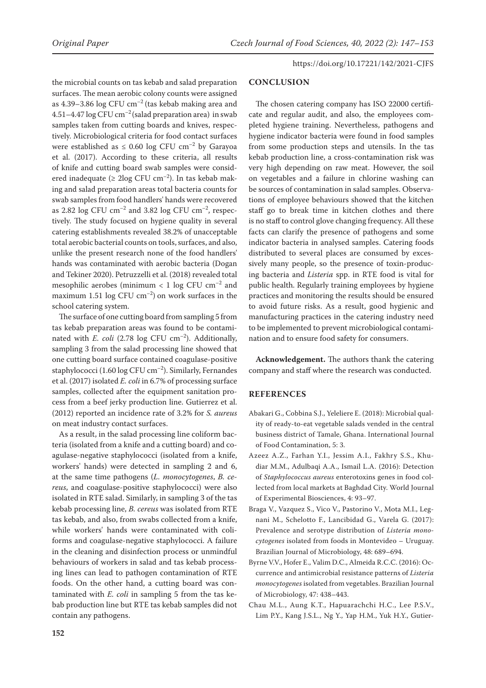the microbial counts on tas kebab and salad preparation surfaces. The mean aerobic colony counts were assigned as 4.39–3.86 log CFU  $cm^{-2}$  (tas kebab making area and 4.51–4.47  $\log$ CFU cm<sup>-2</sup> (salad preparation area) in swab samples taken from cutting boards and knives, respectively. Microbiological criteria for food contact surfaces were established as  $\leq$  0.60 log CFU cm<sup>-2</sup> by Garayoa et al. (2017). According to these criteria, all results of knife and cutting board swab samples were considered inadequate ( $\geq 2 \log$  CFU cm<sup>-2</sup>). In tas kebab making and salad preparation areas total bacteria counts for swab samples from food handlers' hands were recovered as 2.82 log CFU  $cm^{-2}$  and 3.82 log CFU  $cm^{-2}$ , respectively. The study focused on hygiene quality in several catering establishments revealed 38.2% of unacceptable total aerobic bacterial counts on tools, surfaces, and also, unlike the present research none of the food handlers' hands was contaminated with aerobic bacteria (Dogan and Tekiner 2020). Petruzzelli et al. (2018) revealed total mesophilic aerobes (minimum  $< 1$  log CFU  $\text{cm}^{-2}$  and maximum 1.51 log CFU  $\text{cm}^{-2}$ ) on work surfaces in the school catering system.

The surface of one cutting board from sampling 5 from tas kebab preparation areas was found to be contaminated with *E. coli* (2.78 log CFU cm<sup>-2</sup>). Additionally, sampling 3 from the salad processing line showed that one cutting board surface contained coagulase-positive staphylococci (1.60 log CFU cm<sup>-2</sup>). Similarly, Fernandes et al. (2017) isolated *E. coli* in 6.7% of processing surface samples, collected after the equipment sanitation process from a beef jerky production line. Gutierrez et al. (2012) reported an incidence rate of 3.2% for *S. aureus* on meat industry contact surfaces.

As a result, in the salad processing line coliform bacteria (isolated from a knife and a cutting board) and coagulase-negative staphylococci (isolated from a knife, workers' hands) were detected in sampling 2 and 6, at the same time pathogens (*L. monocytogenes*, *B. cereus*, and coagulase-positive staphylococci) were also isolated in RTE salad. Similarly, in sampling 3 of the tas kebab processing line, *B. cereus* was isolated from RTE tas kebab, and also, from swabs collected from a knife, while workers' hands were contaminated with coliforms and coagulase-negative staphylococci. A failure in the cleaning and disinfection process or unmindful behaviours of workers in salad and tas kebab processing lines can lead to pathogen contamination of RTE foods. On the other hand, a cutting board was contaminated with *E. coli* in sampling 5 from the tas kebab production line but RTE tas kebab samples did not contain any pathogens.

#### **CONCLUSION**

The chosen catering company has ISO 22000 certificate and regular audit, and also, the employees completed hygiene training. Nevertheless, pathogens and hygiene indicator bacteria were found in food samples from some production steps and utensils. In the tas kebab production line, a cross-contamination risk was very high depending on raw meat. However, the soil on vegetables and a failure in chlorine washing can be sources of contamination in salad samples. Observations of employee behaviours showed that the kitchen staff go to break time in kitchen clothes and there is no staff to control glove changing frequency. All these facts can clarify the presence of pathogens and some indicator bacteria in analysed samples. Catering foods distributed to several places are consumed by excessively many people, so the presence of toxin-producing bacteria and *Listeria* spp. in RTE food is vital for public health. Regularly training employees by hygiene practices and monitoring the results should be ensured to avoid future risks. As a result, good hygienic and manufacturing practices in the catering industry need to be implemented to prevent microbiological contamination and to ensure food safety for consumers.

**Acknowledgement.** The authors thank the catering company and staff where the research was conducted.

#### **REFERENCES**

- Abakari G., Cobbina S.J., Yeleliere E. (2018): Microbial quality of ready-to-eat vegetable salads vended in the central business district of Tamale, Ghana. International Journal of Food Contamination, 5: 3.
- Azeez A.Z., Farhan Y.I., Jessim A.I., Fakhry S.S., Khudiar M.M., Adulbaqi A.A., Ismail L.A. (2016): Detection of *Staphylococcus aureus* enterotoxins genes in food collected from local markets at Baghdad City. World Journal of Experimental Biosciences, 4: 93–97.
- Braga V., Vazquez S., Vico V., Pastorino V., Mota M.I., Legnani M., Schelotto F., Lancibidad G., Varela G. (2017): Prevalence and serotype distribution of *Listeria monocytogenes* isolated from foods in Montevideo – Uruguay. Brazilian Journal of Microbiology, 48: 689–694.
- Byrne V.V., Hofer E., Valim D.C., Almeida R.C.C. (2016): Occurrence and antimicrobial resistance patterns of *Listeria monocytogenes* isolated from vegetables. Brazilian Journal of Microbiology, 47: 438–443.
- Chau M.L., Aung K.T., Hapuarachchi H.C., Lee P.S.V., Lim P.Y., Kang J.S.L., Ng Y., Yap H.M., Yuk H.Y., Gutier-